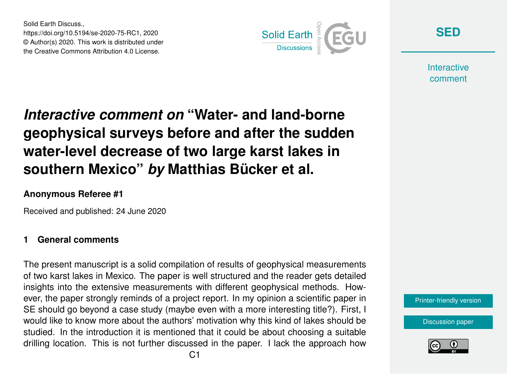Solid Earth Discuss., https://doi.org/10.5194/se-2020-75-RC1, 2020 © Author(s) 2020. This work is distributed under the Creative Commons Attribution 4.0 License.



**[SED](https://se.copernicus.org/preprints/)**

**Interactive** comment

# *Interactive comment on* **"Water- and land-borne geophysical surveys before and after the sudden water-level decrease of two large karst lakes in southern Mexico"** *by* **Matthias Bücker et al.**

## **Anonymous Referee #1**

Received and published: 24 June 2020

## **1 General comments**

The present manuscript is a solid compilation of results of geophysical measurements of two karst lakes in Mexico. The paper is well structured and the reader gets detailed insights into the extensive measurements with different geophysical methods. However, the paper strongly reminds of a project report. In my opinion a scientific paper in SE should go beyond a case study (maybe even with a more interesting title?). First, I would like to know more about the authors' motivation why this kind of lakes should be studied. In the introduction it is mentioned that it could be about choosing a suitable drilling location. This is not further discussed in the paper. I lack the approach how

[Printer-friendly version](https://se.copernicus.org/preprints/se-2020-75/se-2020-75-RC1-print.pdf)

[Discussion paper](https://se.copernicus.org/preprints/se-2020-75)

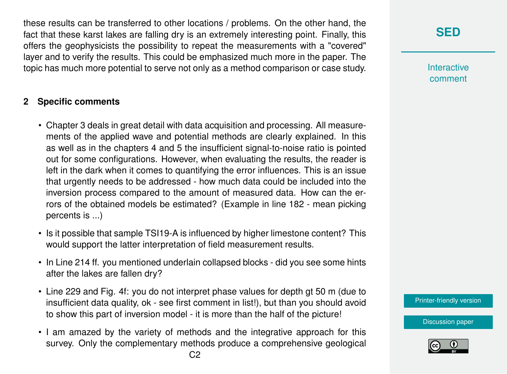these results can be transferred to other locations / problems. On the other hand, the fact that these karst lakes are falling dry is an extremely interesting point. Finally, this offers the geophysicists the possibility to repeat the measurements with a "covered" layer and to verify the results. This could be emphasized much more in the paper. The topic has much more potential to serve not only as a method comparison or case study.

## **2 Specific comments**

- Chapter 3 deals in great detail with data acquisition and processing. All measurements of the applied wave and potential methods are clearly explained. In this as well as in the chapters 4 and 5 the insufficient signal-to-noise ratio is pointed out for some configurations. However, when evaluating the results, the reader is left in the dark when it comes to quantifying the error influences. This is an issue that urgently needs to be addressed - how much data could be included into the inversion process compared to the amount of measured data. How can the errors of the obtained models be estimated? (Example in line 182 - mean picking percents is ...)
- Is it possible that sample TSI19-A is influenced by higher limestone content? This would support the latter interpretation of field measurement results.
- In Line 214 ff. you mentioned underlain collapsed blocks did you see some hints after the lakes are fallen dry?
- Line 229 and Fig. 4f: you do not interpret phase values for depth gt 50 m (due to insufficient data quality, ok - see first comment in list!), but than you should avoid to show this part of inversion model - it is more than the half of the picture!
- I am amazed by the variety of methods and the integrative approach for this survey. Only the complementary methods produce a comprehensive geological

**Interactive** comment

[Printer-friendly version](https://se.copernicus.org/preprints/se-2020-75/se-2020-75-RC1-print.pdf)

[Discussion paper](https://se.copernicus.org/preprints/se-2020-75)